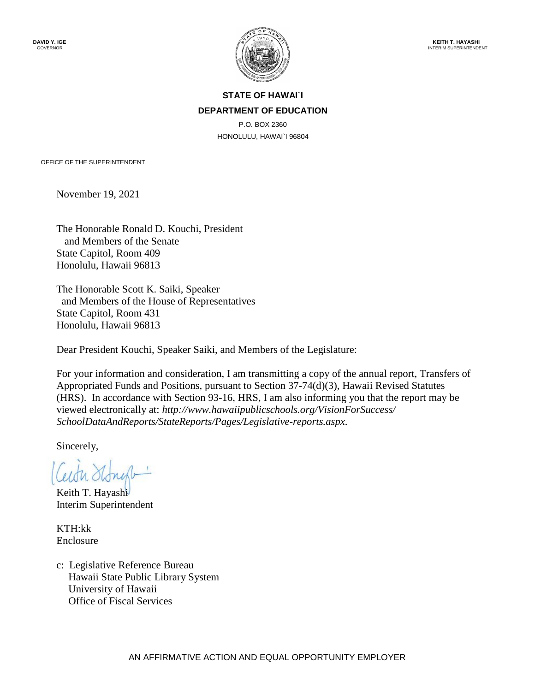

### **STATE OF HAWAI`I DEPARTMENT OF EDUCATION**

P.O. BOX 2360 HONOLULU, HAWAI`I 96804

OFFICE OF THE SUPERINTENDENT

November 19, 2021

The Honorable Ronald D. Kouchi, President and Members of the Senate State Capitol, Room 409 Honolulu, Hawaii 96813

The Honorable Scott K. Saiki, Speaker and Members of the House of Representatives State Capitol, Room 431 Honolulu, Hawaii 96813

Dear President Kouchi, Speaker Saiki, and Members of the Legislature:

For your information and consideration, I am transmitting a copy of the annual report, Transfers of Appropriated Funds and Positions, pursuant to Section 37-74(d)(3), Hawaii Revised Statutes (HRS). In accordance with Section 93-16, HRS, I am also informing you that the report may be viewed electronically at: *[http://www.hawaiipublicschools.org/VisionForSuccess/](http://www.hawaiipublicschools.org/VisionForSuccess/SchoolDataAndReports/StateReports/Pages/Legislative-reports.aspx)  [SchoolDataAndReports/StateReports/Pages/Legislative-reports.aspx](http://www.hawaiipublicschools.org/VisionForSuccess/SchoolDataAndReports/StateReports/Pages/Legislative-reports.aspx)*.

Sincerely,

Keith T. Hayashi Interim Superintendent

KTH:kk Enclosure

c: Legislative Reference Bureau Hawaii State Public Library System University of Hawaii Office of Fiscal Services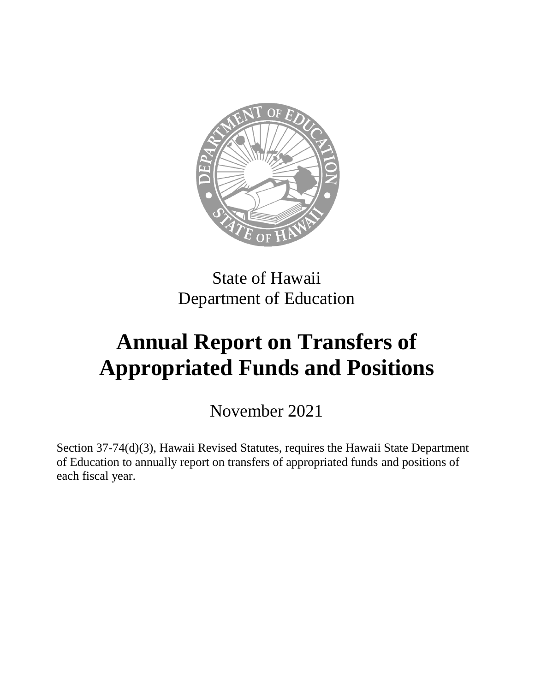

## State of Hawaii Department of Education

# **Annual Report on Transfers of Appropriated Funds and Positions**

November 2021

Section 37-74(d)(3), Hawaii Revised Statutes, requires the Hawaii State Department of Education to annually report on transfers of appropriated funds and positions of each fiscal year.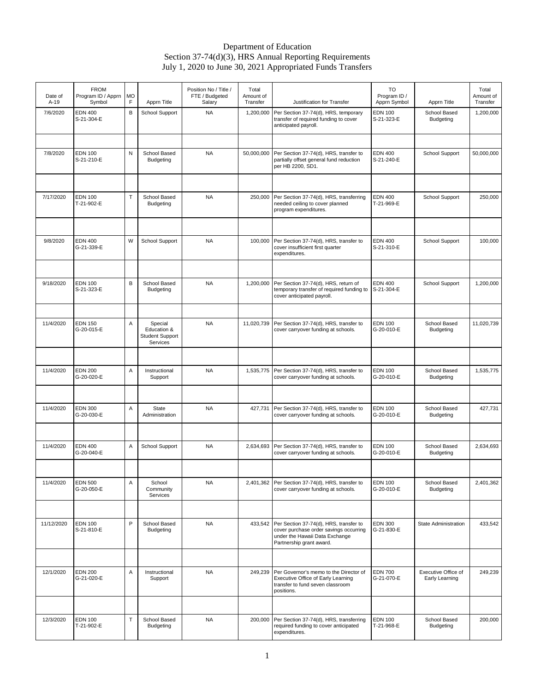#### Department of Education Section 37-74(d)(3), HRS Annual Reporting Requirements July 1, 2020 to June 30, 2021 Appropriated Funds Transfers

| Date of<br>$A-19$ | <b>FROM</b><br>Program ID / Apprn<br>Symbol | MO<br>F | Apprn Title                                                  | Position No / Title /<br>FTE / Budgeted<br>Salary | Total<br>Amount of<br>Transfer | Justification for Transfer                                                                                                                     | TO<br>Program ID /<br>Apprn Symbol | Apprn Title                           | Total<br>Amount of<br>Transfer |
|-------------------|---------------------------------------------|---------|--------------------------------------------------------------|---------------------------------------------------|--------------------------------|------------------------------------------------------------------------------------------------------------------------------------------------|------------------------------------|---------------------------------------|--------------------------------|
| 7/6/2020          | <b>EDN 400</b><br>S-21-304-E                | B       | School Support                                               | <b>NA</b>                                         | 1,200,000                      | Per Section 37-74(d), HRS, temporary<br>transfer of required funding to cover<br>anticipated payroll.                                          | <b>EDN 100</b><br>S-21-323-E       | School Based<br>Budgeting             | 1,200,000                      |
|                   |                                             |         |                                                              |                                                   |                                |                                                                                                                                                |                                    |                                       |                                |
| 7/8/2020          | <b>EDN 100</b><br>S-21-210-E                | N       | School Based<br>Budgeting                                    | <b>NA</b>                                         | 50,000,000                     | Per Section 37-74(d), HRS, transfer to<br>partially offset general fund reduction<br>per HB 2200, SD1.                                         | <b>EDN 400</b><br>S-21-240-E       | School Support                        | 50,000,000                     |
|                   |                                             |         |                                                              |                                                   |                                |                                                                                                                                                |                                    |                                       |                                |
| 7/17/2020         | <b>EDN 100</b><br>T-21-902-E                | T.      | School Based<br>Budgeting                                    | <b>NA</b>                                         | 250,000                        | Per Section 37-74(d), HRS, transferring<br>needed ceiling to cover planned<br>program expenditures.                                            | <b>EDN 400</b><br>T-21-969-E       | School Support                        | 250,000                        |
|                   |                                             |         |                                                              |                                                   |                                |                                                                                                                                                |                                    |                                       |                                |
| 9/8/2020          | <b>EDN 400</b><br>G-21-339-E                | W       | School Support                                               | <b>NA</b>                                         | 100,000                        | Per Section 37-74(d), HRS, transfer to<br>cover insufficient first quarter<br>expenditures.                                                    | <b>EDN 400</b><br>S-21-310-E       | School Support                        | 100,000                        |
|                   |                                             |         |                                                              |                                                   |                                |                                                                                                                                                |                                    |                                       |                                |
| 9/18/2020         | <b>EDN 100</b><br>S-21-323-E                | B       | School Based<br>Budgeting                                    | <b>NA</b>                                         | 1,200,000                      | Per Section 37-74(d), HRS, return of<br>temporary transfer of required funding to<br>cover anticipated payroll.                                | <b>EDN 400</b><br>S-21-304-E       | School Support                        | 1,200,000                      |
|                   |                                             |         |                                                              |                                                   |                                |                                                                                                                                                |                                    |                                       |                                |
| 11/4/2020         | <b>EDN 150</b><br>G-20-015-E                | Α       | Special<br>Education &<br><b>Student Support</b><br>Services | <b>NA</b>                                         | 11,020,739                     | Per Section 37-74(d), HRS, transfer to<br>cover carryover funding at schools.                                                                  | <b>EDN 100</b><br>G-20-010-E       | School Based<br>Budgeting             | 11,020,739                     |
|                   |                                             |         |                                                              |                                                   |                                |                                                                                                                                                |                                    |                                       |                                |
| 11/4/2020         | <b>EDN 200</b><br>G-20-020-E                | Α       | Instructional<br>Support                                     | <b>NA</b>                                         | 1,535,775                      | Per Section 37-74(d), HRS, transfer to<br>cover carryover funding at schools.                                                                  | <b>EDN 100</b><br>G-20-010-E       | School Based<br>Budgeting             | 1,535,775                      |
|                   |                                             |         |                                                              |                                                   |                                |                                                                                                                                                |                                    |                                       |                                |
| 11/4/2020         | <b>EDN 300</b><br>G-20-030-E                | Α       | State<br>Administration                                      | <b>NA</b>                                         | 427,731                        | Per Section 37-74(d), HRS, transfer to<br>cover carryover funding at schools.                                                                  | <b>EDN 100</b><br>G-20-010-E       | School Based<br><b>Budgeting</b>      | 427,731                        |
|                   |                                             |         |                                                              |                                                   |                                |                                                                                                                                                |                                    |                                       |                                |
| 11/4/2020         | <b>EDN 400</b><br>G-20-040-E                | Α       | School Support                                               | <b>NA</b>                                         | 2,634,693                      | Per Section 37-74(d), HRS, transfer to<br>cover carryover funding at schools.                                                                  | <b>EDN 100</b><br>G-20-010-E       | School Based<br>Budgeting             | 2,634,693                      |
|                   |                                             |         |                                                              |                                                   |                                |                                                                                                                                                |                                    |                                       |                                |
| 11/4/2020         | <b>EDN 500</b><br>G-20-050-E                | Α       | School<br>Community<br>Services                              | <b>NA</b>                                         | 2,401,362                      | Per Section 37-74(d), HRS, transfer to<br>cover carryover funding at schools.                                                                  | <b>EDN 100</b><br>G-20-010-E       | School Based<br><b>Budgeting</b>      | 2,401,362                      |
|                   |                                             |         |                                                              |                                                   |                                |                                                                                                                                                |                                    |                                       |                                |
| 11/12/2020        | <b>EDN 100</b><br>S-21-810-E                | P       | School Based<br><b>Budgeting</b>                             | <b>NA</b>                                         | 433,542                        | Per Section 37-74(d), HRS, transfer to<br>cover purchase order savings occurring<br>under the Hawaii Data Exchange<br>Partnership grant award. | <b>EDN 300</b><br>G-21-830-E       | <b>State Administration</b>           | 433,542                        |
|                   |                                             |         |                                                              |                                                   |                                |                                                                                                                                                |                                    |                                       |                                |
| 12/1/2020         | <b>EDN 200</b><br>G-21-020-E                | Α       | Instructional<br>Support                                     | <b>NA</b>                                         | 249,239                        | Per Governor's memo to the Director of<br>Executive Office of Early Learning<br>transfer to fund seven classroom<br>positions.                 | <b>EDN 700</b><br>G-21-070-E       | Executive Office of<br>Early Learning | 249,239                        |
|                   |                                             |         |                                                              |                                                   |                                |                                                                                                                                                |                                    |                                       |                                |
| 12/3/2020         | <b>EDN 100</b><br>T-21-902-E                | $\top$  | School Based<br><b>Budgeting</b>                             | <b>NA</b>                                         | 200,000                        | Per Section 37-74(d), HRS, transferring<br>required funding to cover anticipated<br>expenditures.                                              | <b>EDN 100</b><br>T-21-968-E       | School Based<br><b>Budgeting</b>      | 200,000                        |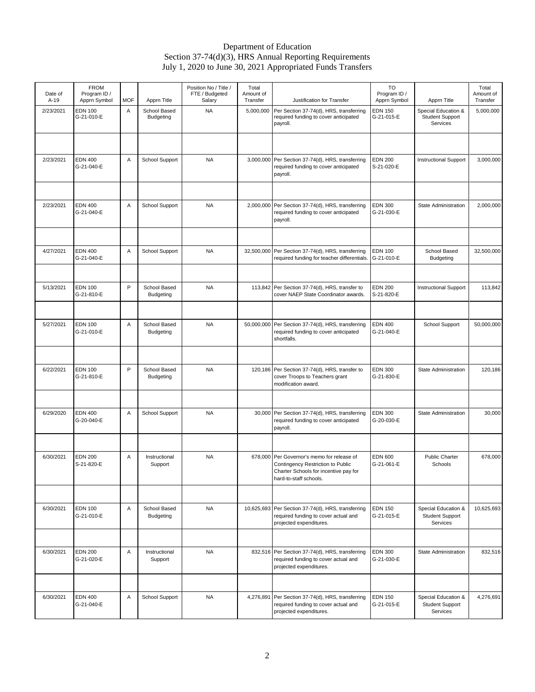#### Department of Education Section 37-74(d)(3), HRS Annual Reporting Requirements July 1, 2020 to June 30, 2021 Appropriated Funds Transfers

| Date of<br>$A-19$ | <b>FROM</b><br>Program ID /<br>Apprn Symbol | <b>MOF</b> | Apprn Title                      | Position No / Title /<br>FTE / Budgeted<br>Salary | Total<br>Amount of<br>Transfer | Justification for Transfer                                                                                                                 | TO<br>Program ID /<br>Apprn Symbol | Apprn Title                                               | Total<br>Amount of<br>Transfer |
|-------------------|---------------------------------------------|------------|----------------------------------|---------------------------------------------------|--------------------------------|--------------------------------------------------------------------------------------------------------------------------------------------|------------------------------------|-----------------------------------------------------------|--------------------------------|
| 2/23/2021         | <b>EDN 100</b><br>G-21-010-E                | Α          | School Based<br>Budgeting        | <b>NA</b>                                         | 5,000,000                      | Per Section 37-74(d), HRS, transferring<br>required funding to cover anticipated<br>payroll.                                               | <b>EDN 150</b><br>G-21-015-E       | Special Education &<br>Student Support<br>Services        | 5,000,000                      |
|                   |                                             |            |                                  |                                                   |                                |                                                                                                                                            |                                    |                                                           |                                |
| 2/23/2021         | <b>EDN 400</b><br>G-21-040-E                | Α          | School Support                   | <b>NA</b>                                         |                                | 3,000,000 Per Section 37-74(d), HRS, transferring<br>required funding to cover anticipated<br>payroll.                                     | <b>EDN 200</b><br>S-21-020-E       | <b>Instructional Support</b>                              | 3,000,000                      |
|                   |                                             |            |                                  |                                                   |                                |                                                                                                                                            |                                    |                                                           |                                |
| 2/23/2021         | <b>EDN 400</b><br>G-21-040-E                | Α          | School Support                   | <b>NA</b>                                         | 2,000,000                      | Per Section 37-74(d), HRS, transferring<br>required funding to cover anticipated<br>payroll.                                               | <b>EDN 300</b><br>G-21-030-E       | State Administration                                      | 2,000,000                      |
|                   |                                             |            |                                  |                                                   |                                |                                                                                                                                            |                                    |                                                           |                                |
| 4/27/2021         | <b>EDN 400</b><br>G-21-040-E                | Α          | School Support                   | <b>NA</b>                                         | 32,500,000                     | Per Section 37-74(d), HRS, transferring<br>required funding for teacher differentials.                                                     | <b>EDN 100</b><br>G-21-010-E       | School Based<br><b>Budgeting</b>                          | 32,500,000                     |
|                   |                                             |            |                                  |                                                   |                                |                                                                                                                                            |                                    |                                                           |                                |
| 5/13/2021         | <b>EDN 100</b><br>G-21-810-E                | P          | School Based<br><b>Budgeting</b> | <b>NA</b>                                         |                                | 113,842 Per Section 37-74(d), HRS, transfer to<br>cover NAEP State Coordinator awards.                                                     | <b>EDN 200</b><br>S-21-820-E       | <b>Instructional Support</b>                              | 113,842                        |
|                   |                                             |            |                                  |                                                   |                                |                                                                                                                                            |                                    |                                                           |                                |
| 5/27/2021         | <b>EDN 100</b><br>G-21-010-E                | Α          | School Based<br><b>Budgeting</b> | <b>NA</b>                                         |                                | 50,000,000 Per Section 37-74(d), HRS, transferring<br>required funding to cover anticipated<br>shortfalls.                                 | <b>EDN 400</b><br>G-21-040-E       | School Support                                            | 50,000,000                     |
|                   |                                             |            |                                  |                                                   |                                |                                                                                                                                            |                                    |                                                           |                                |
| 6/22/2021         | <b>EDN 100</b><br>G-21-810-E                | P          | School Based<br><b>Budgeting</b> | <b>NA</b>                                         |                                | 120,186 Per Section 37-74(d), HRS, transfer to<br>cover Troops to Teachers grant<br>modification award.                                    | <b>EDN 300</b><br>G-21-830-E       | State Administration                                      | 120,186                        |
|                   |                                             |            |                                  |                                                   |                                |                                                                                                                                            |                                    |                                                           |                                |
| 6/29/2020         | <b>EDN 400</b><br>G-20-040-E                | Α          | School Support                   | <b>NA</b>                                         |                                | 30,000 Per Section 37-74(d), HRS, transferring<br>required funding to cover anticipated<br>payroll.                                        | <b>EDN 300</b><br>G-20-030-E       | State Administration                                      | 30,000                         |
|                   |                                             |            |                                  |                                                   |                                |                                                                                                                                            |                                    |                                                           |                                |
| 6/30/2021         | <b>EDN 200</b><br>S-21-820-E                | Α          | Instructional<br>Support         | <b>NA</b>                                         | 678,000                        | Per Governor's memo for release of<br>Contingency Restriction to Public<br>Charter Schools for incentive pay for<br>hard-to-staff schools. | <b>EDN 600</b><br>G-21-061-E       | Public Charter<br>Schools                                 | 678,000                        |
|                   |                                             |            |                                  |                                                   |                                |                                                                                                                                            |                                    |                                                           |                                |
| 6/30/2021         | <b>EDN 100</b><br>G-21-010-E                | A          | School Based<br>Budgeting        | <b>NA</b>                                         |                                | 10,625,693 Per Section 37-74(d), HRS, transferring<br>required funding to cover actual and<br>projected expenditures.                      | <b>EDN 150</b><br>G-21-015-E       | Special Education &<br><b>Student Support</b><br>Services | 10,625,693                     |
|                   |                                             |            |                                  |                                                   |                                |                                                                                                                                            |                                    |                                                           |                                |
| 6/30/2021         | <b>EDN 200</b><br>G-21-020-E                | Α          | Instructional<br>Support         | <b>NA</b>                                         |                                | 832,516 Per Section 37-74(d), HRS, transferring<br>required funding to cover actual and<br>projected expenditures.                         | <b>EDN 300</b><br>G-21-030-E       | State Administration                                      | 832,516                        |
|                   |                                             |            |                                  |                                                   |                                |                                                                                                                                            |                                    |                                                           |                                |
| 6/30/2021         | <b>EDN 400</b><br>G-21-040-E                | Α          | School Support                   | NA                                                | 4,276,891                      | Per Section 37-74(d), HRS, transferring<br>required funding to cover actual and<br>projected expenditures.                                 | <b>EDN 150</b><br>G-21-015-E       | Special Education &<br><b>Student Support</b><br>Services | 4,276,691                      |